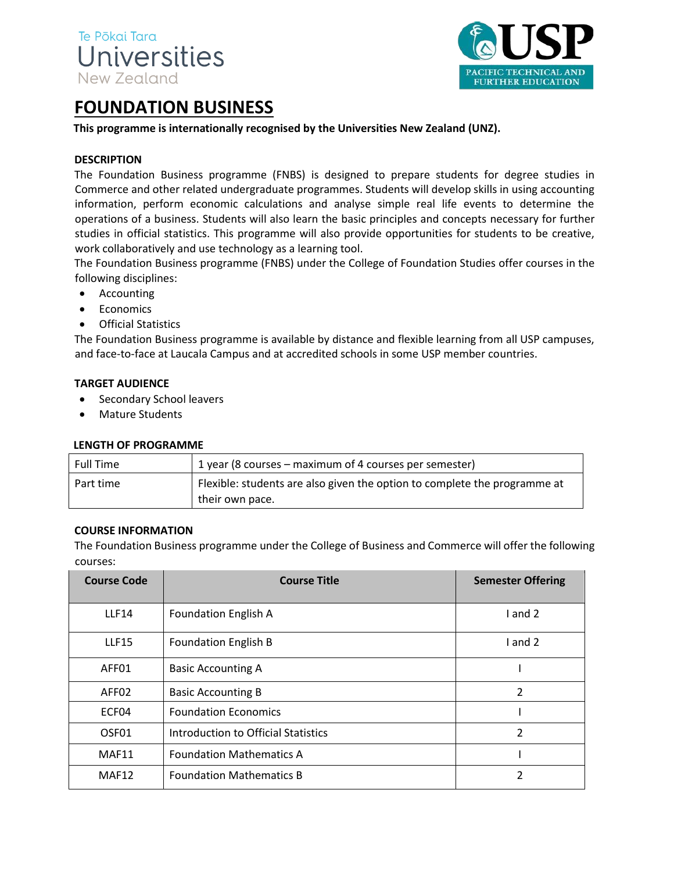



# **FOUNDATION BUSINESS**

## **This programme is internationally recognised by the Universities New Zealand (UNZ).**

## **DESCRIPTION**

The Foundation Business programme (FNBS) is designed to prepare students for degree studies in Commerce and other related undergraduate programmes. Students will develop skills in using accounting information, perform economic calculations and analyse simple real life events to determine the operations of a business. Students will also learn the basic principles and concepts necessary for further studies in official statistics. This programme will also provide opportunities for students to be creative, work collaboratively and use technology as a learning tool.

The Foundation Business programme (FNBS) under the College of Foundation Studies offer courses in the following disciplines:

- Accounting
- Economics
- Official Statistics

The Foundation Business programme is available by distance and flexible learning from all USP campuses, and face-to-face at Laucala Campus and at accredited schools in some USP member countries.

#### **TARGET AUDIENCE**

- Secondary School leavers
- Mature Students

#### **LENGTH OF PROGRAMME**

| Full Time | 1 year (8 courses – maximum of 4 courses per semester)                    |
|-----------|---------------------------------------------------------------------------|
| Part time | Flexible: students are also given the option to complete the programme at |
|           | their own pace.                                                           |

#### **COURSE INFORMATION**

The Foundation Business programme under the College of Business and Commerce will offer the following courses:

| <b>Course Code</b> | <b>Course Title</b>                 | <b>Semester Offering</b> |
|--------------------|-------------------------------------|--------------------------|
| <b>LLF14</b>       | Foundation English A                | I and 2                  |
| <b>LLF15</b>       | <b>Foundation English B</b>         | I and 2                  |
| AFF01              | <b>Basic Accounting A</b>           |                          |
| AFF02              | <b>Basic Accounting B</b>           | 2                        |
| ECF04              | <b>Foundation Economics</b>         |                          |
| OSF <sub>01</sub>  | Introduction to Official Statistics | 2                        |
| MAF11              | <b>Foundation Mathematics A</b>     |                          |
| MAF12              | <b>Foundation Mathematics B</b>     | $\mathcal{P}$            |